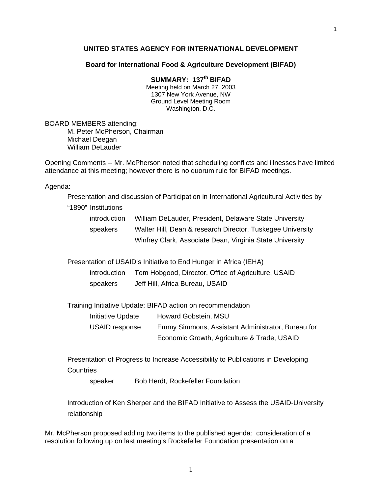#### **UNITED STATES AGENCY FOR INTERNATIONAL DEVELOPMENT**

1

#### **Board for International Food & Agriculture Development (BIFAD)**

# **SUMMARY: 137th BIFAD**

Meeting held on March 27, 2003 1307 New York Avenue, NW Ground Level Meeting Room Washington, D.C.

BOARD MEMBERS attending: M. Peter McPherson, Chairman Michael Deegan William DeLauder

Opening Comments -- Mr. McPherson noted that scheduling conflicts and illnesses have limited attendance at this meeting; however there is no quorum rule for BIFAD meetings.

Agenda:

Presentation and discussion of Participation in International Agricultural Activities by

"1890" Institutions

| introduction | William DeLauder, President, Delaware State University     |
|--------------|------------------------------------------------------------|
| speakers     | Walter Hill, Dean & research Director, Tuskegee University |
|              | Winfrey Clark, Associate Dean, Virginia State University   |

Presentation of USAID's Initiative to End Hunger in Africa (IEHA)

 introduction Tom Hobgood, Director, Office of Agriculture, USAID speakers Jeff Hill, Africa Bureau, USAID

Training Initiative Update; BIFAD action on recommendation

Initiative Update Howard Gobstein, MSU

 USAID response Emmy Simmons, Assistant Administrator, Bureau for Economic Growth, Agriculture & Trade, USAID

 Presentation of Progress to Increase Accessibility to Publications in Developing **Countries** 

speaker Bob Herdt, Rockefeller Foundation

Introduction of Ken Sherper and the BIFAD Initiative to Assess the USAID-University relationship

Mr. McPherson proposed adding two items to the published agenda: consideration of a resolution following up on last meeting's Rockefeller Foundation presentation on a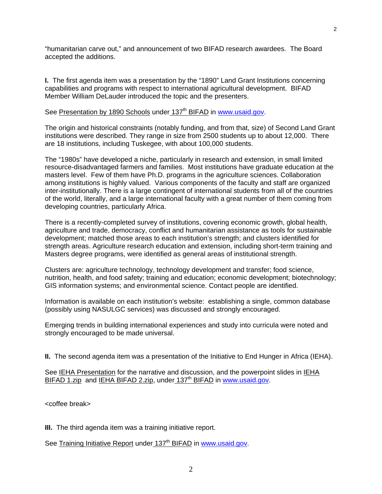"humanitarian carve out," and announcement of two BIFAD research awardees. The Board accepted the additions.

**I.** The first agenda item was a presentation by the "1890" Land Grant Institutions concerning capabilities and programs with respect to international agricultural development. BIFAD Member William DeLauder introduced the topic and the presenters.

### See Presentation by 1890 Schools under 137<sup>th</sup> BIFAD in www.usaid.gov.

The origin and historical constraints (notably funding, and from that, size) of Second Land Grant institutions were described. They range in size from 2500 students up to about 12,000. There are 18 institutions, including Tuskegee, with about 100,000 students.

The "1980s" have developed a niche, particularly in research and extension, in small limited resource-disadvantaged farmers and families. Most institutions have graduate education at the masters level. Few of them have Ph.D. programs in the agriculture sciences. Collaboration among institutions is highly valued. Various components of the faculty and staff are organized inter-institutionally. There is a large contingent of international students from all of the countries of the world, literally, and a large international faculty with a great number of them coming from developing countries, particularly Africa.

There is a recently-completed survey of institutions, covering economic growth, global health, agriculture and trade, democracy, conflict and humanitarian assistance as tools for sustainable development; matched those areas to each institution's strength; and clusters identified for strength areas. Agriculture research education and extension, including short-term training and Masters degree programs, were identified as general areas of institutional strength.

Clusters are: agriculture technology, technology development and transfer; food science, nutrition, health, and food safety; training and education; economic development; biotechnology; GIS information systems; and environmental science. Contact people are identified.

Information is available on each institution's website: establishing a single, common database (possibly using NASULGC services) was discussed and strongly encouraged.

Emerging trends in building international experiences and study into curricula were noted and strongly encouraged to be made universal.

**II.** The second agenda item was a presentation of the Initiative to End Hunger in Africa (IEHA).

See IEHA Presentation for the narrative and discussion, and the powerpoint slides in IEHA BIFAD 1.zip and IEHA BIFAD 2.zip, under 137<sup>th</sup> BIFAD in www.usaid.gov.

<coffee break>

**III.** The third agenda item was a training initiative report.

See Training Initiative Report under 137<sup>th</sup> BIFAD in www.usaid.gov.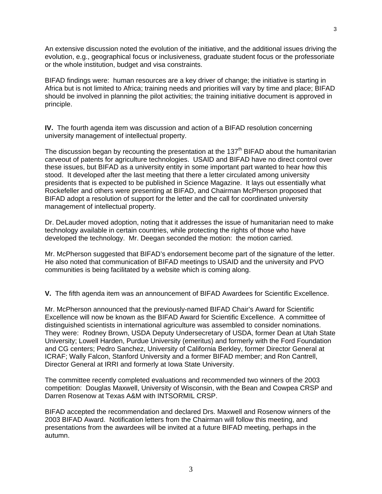An extensive discussion noted the evolution of the initiative, and the additional issues driving the evolution, e.g., geographical focus or inclusiveness, graduate student focus or the professoriate or the whole institution, budget and visa constraints.

BIFAD findings were: human resources are a key driver of change; the initiative is starting in Africa but is not limited to Africa; training needs and priorities will vary by time and place; BIFAD should be involved in planning the pilot activities; the training initiative document is approved in principle.

**IV.** The fourth agenda item was discussion and action of a BIFAD resolution concerning university management of intellectual property.

The discussion began by recounting the presentation at the 137<sup>th</sup> BIFAD about the humanitarian carveout of patents for agriculture technologies. USAID and BIFAD have no direct control over these issues, but BIFAD as a university entity in some important part wanted to hear how this stood. It developed after the last meeting that there a letter circulated among university presidents that is expected to be published in Science Magazine. It lays out essentially what Rockefeller and others were presenting at BIFAD, and Chairman McPherson proposed that BIFAD adopt a resolution of support for the letter and the call for coordinated university management of intellectual property.

Dr. DeLauder moved adoption, noting that it addresses the issue of humanitarian need to make technology available in certain countries, while protecting the rights of those who have developed the technology. Mr. Deegan seconded the motion: the motion carried.

Mr. McPherson suggested that BIFAD's endorsement become part of the signature of the letter. He also noted that communication of BIFAD meetings to USAID and the university and PVO communities is being facilitated by a website which is coming along.

**V.** The fifth agenda item was an announcement of BIFAD Awardees for Scientific Excellence.

Mr. McPherson announced that the previously-named BIFAD Chair's Award for Scientific Excellence will now be known as the BIFAD Award for Scientific Excellence. A committee of distinguished scientists in international agriculture was assembled to consider nominations. They were: Rodney Brown, USDA Deputy Undersecretary of USDA, former Dean at Utah State University; Lowell Harden, Purdue University (emeritus) and formerly with the Ford Foundation and CG centers; Pedro Sanchez, University of California Berkley, former Director General at ICRAF; Wally Falcon, Stanford University and a former BIFAD member; and Ron Cantrell, Director General at IRRI and formerly at Iowa State University.

The committee recently completed evaluations and recommended two winners of the 2003 competition: Douglas Maxwell, University of Wisconsin, with the Bean and Cowpea CRSP and Darren Rosenow at Texas A&M with INTSORMIL CRSP.

BIFAD accepted the recommendation and declared Drs. Maxwell and Rosenow winners of the 2003 BIFAD Award. Notification letters from the Chairman will follow this meeting, and presentations from the awardees will be invited at a future BIFAD meeting, perhaps in the autumn.